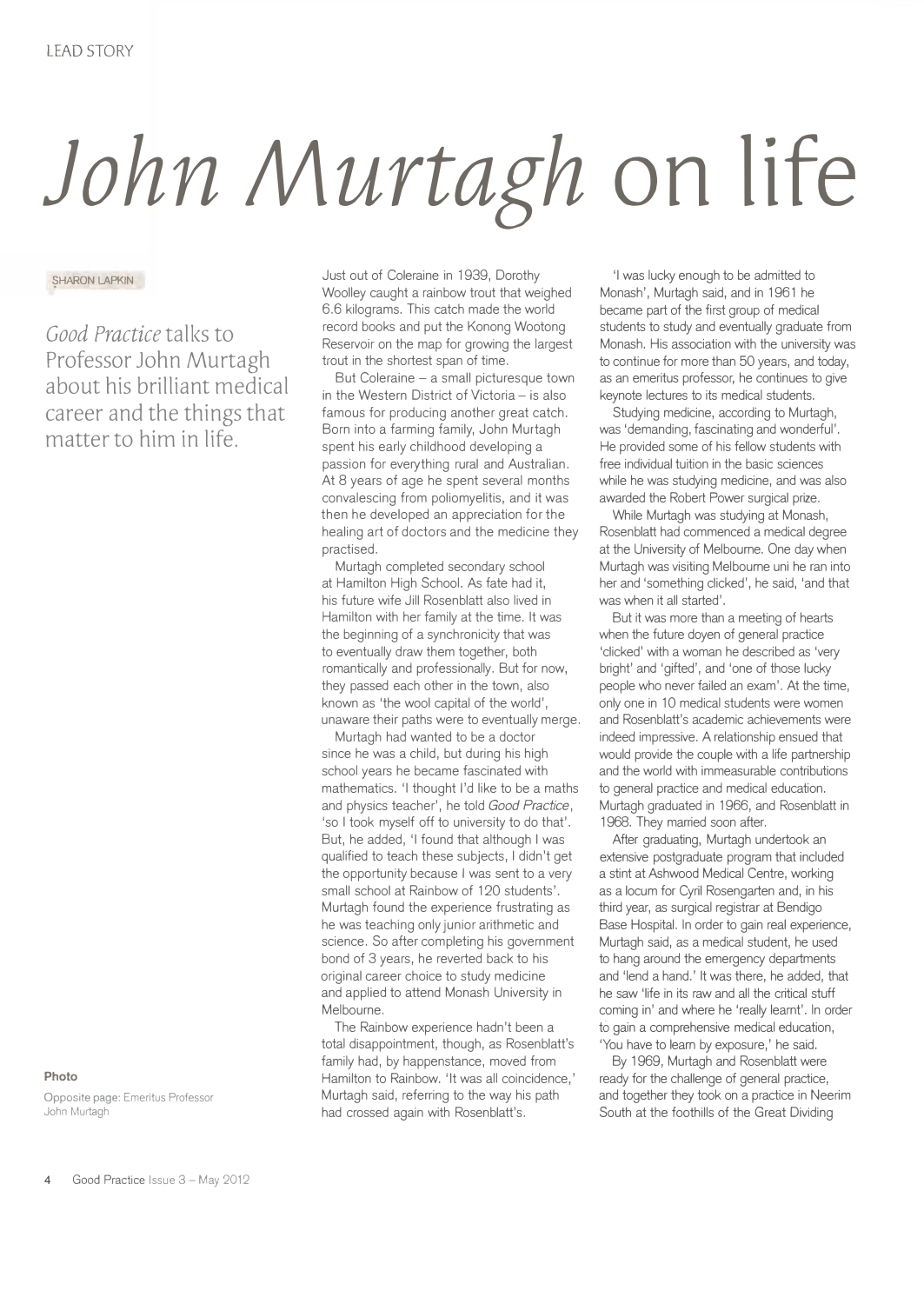## *John Murtagh* **on life**

**SHARON LAPKIN** 

*Good Practice* talks to Professor John Murtagh about his brilliant medical career and the things that matter to him in life.

**Photo** 

**Opposite page:** Emeritus Professor John Murtagh

Just out of Coleraine in 1939, Dorothy Woolley caught a rainbow trout that weighed 6.6 kilograms. This catch made the world record books and put the Konong Wootong Reservoir on the map for growing the largest trout in the shortest span of time.

But Coleraine - a small picturesque town in the Western District of Victoria - is also famous for producing another great catch. Born into a farming family, John Murtagh spent his early childhood developing a passion for everything rural and Australian. At 8 years of age he spent several months convalescing from poliomyelitis, and it was then he developed an appreciation for the healing art of doctors and the medicine they practised.

Murtagh completed secondary school at Hamilton High School. As fate had it, his future wife Jill Rosenblatt also lived in Hamilton with her family at the time. It was the beginning of a synchronicity that was to eventually draw them together, both romantically and professionally. But for now, they passed each other in the town, also known as 'the wool capital of the world', unaware their paths were to eventually merge.

Murtagh had wanted to be a doctor since he was a child, but during his high school years he became fascinated with mathematics. 'I thought I'd like to be a maths and physics teacher', he told *Good Practice,*  'so I took myself off to university to do that'. But, he added, 'I found that although I was qualified to teach these subjects, I didn't get the opportunity because I was sent to a very small school at Rainbow of 120 students'. Murtagh found the experience frustrating as he was teaching only junior arithmetic and science. So after completing his government bond of 3 years, he reverted back to his original career choice to study medicine and applied to attend Monash University in Melbourne.

The Rainbow experience hadn't been a total disappointment, though, as Rosenblatt's family had, by happenstance, moved from Hamilton to Rainbow. 'It was all coincidence,' Murtagh said, referring to the way his path had crossed again with Rosenblatt's.

'I was lucky enough to be admitted to Monash', Murtagh said, and in 1961 he became part of the first group of medical students to study and eventually graduate from Monash. His association with the university was to continue for more than 50 years, and today, as an emeritus professor, he continues to give keynote lectures to its medical students.

Studying medicine, according to Murtagh, was 'demanding, fascinating and wonderful'. He provided some of his fellow students with free individual tuition in the basic sciences while he was studying medicine, and was also awarded the Robert Power surgical prize.

While Murtagh was studying at Monash, Rosenblatt had commenced a medical degree at the University of Melbourne. One day when Murtagh was visiting Melbourne uni he ran into her and 'something clicked', he said, 'and that was when it all started'.

But it was more than a meeting of hearts when the future doyen of general practice 'clicked' with a woman he described as 'very bright' and 'gifted', and 'one of those lucky people who never failed an exam'. At the time, only one in 10 medical students were women and Rosenblatt's academic achievements were indeed impressive. A relationship ensued that would provide the couple with a life partnership and the world with immeasurable contributions to general practice and medical education. Murtagh graduated in 1966, and Rosenblatt in 1968. They married soon after.

After graduating, Murtagh undertook an extensive postgraduate program that included a stint at Ashwood Medical Centre, working as a locum for Cyril Rosengarten and, in his third year, as surgical registrar at Bendigo Base Hospital. In order to gain real experience, Murtagh said, as a medical student, he used to hang around the emergency departments and 'lend a hand.' It was there, he added, that he saw 'life in its raw and all the critical stuff coming in' and where he 'really learnt'. In order to gain a comprehensive medical education, 'You have to learn by exposure,' he said.

By 1969, Murtagh and Rosenblatt were ready for the challenge of general practice, and together they took on a practice in Neerim South at the foothills of the Great Dividing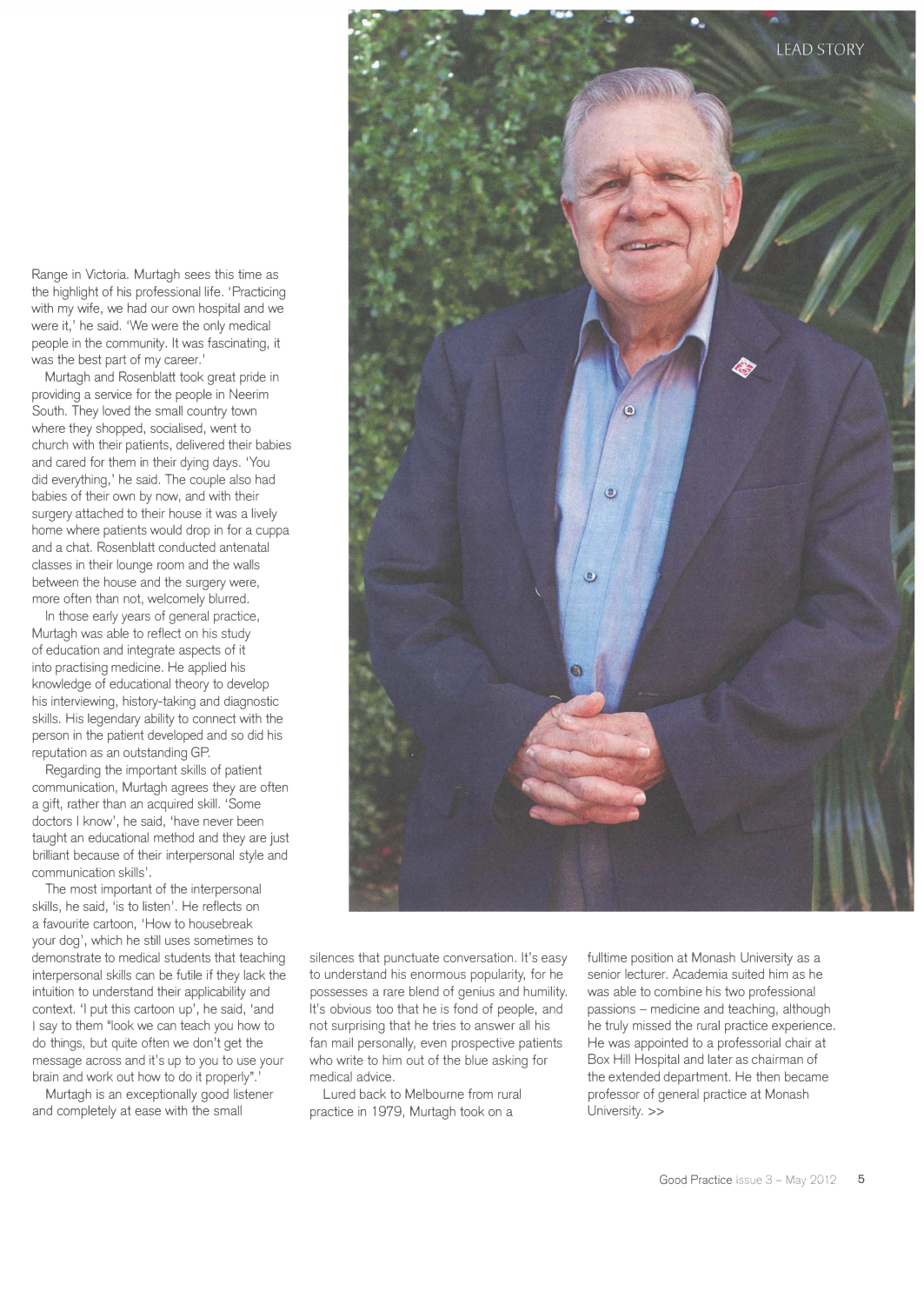Range in Victoria. Murtagh sees this time as the highlight of his professional life. 'Practicing with my wife, we had our own hospital and we were it,' he said. 'We were the only medical people in the community. It was fascinating, it was the best part of my career.'

Murtagh and Rosenblatt took great pride in providing a service for the people in Neerim South. They loved the small country town where they shopped, socialised, went to church with their patients, delivered their babies and cared for them in their dying days. 'You did everything,' he said. The couple also had babies of their own by now, and with their surgery attached to their house it was a lively home where patients would drop in for a cuppa and a chat. Rosenblatt conducted antenatal classes in their lounge room and the walls between the house and the surgery were, more often than not, welcomely blurred.

In those early years of general practice, Murtagh was able to reflect on his study of education and integrate aspects of it into practising medicine. He applied his knowledge of educational theory to develop his interviewing, history-taking and diagnostic skills. His legendary ability to connect with the person in the patient developed and so did his reputation as an outstanding GP.

Regarding the important skills of patient communication, Murtagh agrees they are often a gift, rather than an acquired skill. 'Some doctors I know', he said, 'have never been taught an educational method and they are just brilliant because of their interpersonal style and communication skills'.

The most important of the interpersonal skills, he said, 'is to listen'. He reflects on a favourite cartoon, 'How to housebreak your dog', which he still uses sometimes to demonstrate to medical students that teaching interpersonal skills can be futile if they lack the intuition to understand their applicability and context. 'I put this cartoon up', he said, 'and I say to them "look we can teach you how to do things, but quite often we don't get the message across and it's up to you to use your brain and work out how to do it properly".

Murtagh is an exceptionally good listener and completely at ease with the small



silences that punctuate conversation. It's easy to understand his enormous popularity, for he possesses a rare blend of genius and humility. It's obvious too that he is fond of people, and not surprising that he tries to answer all his fan mail personally, even prospective patients who write to him out of the blue asking for medical advice.

Lured back to Melbourne from rural practice in 1979, Murtagh took on a

fulltime position at Monash University as a senior lecturer. Academia suited him as he was able to combine his two professional passions - medicine and teaching, although he truly missed the rural practice experience. He was appointed to a professorial chair at Box Hill Hospital and later as chairman of the extended department. He then became professor of general practice at Monash University. >>